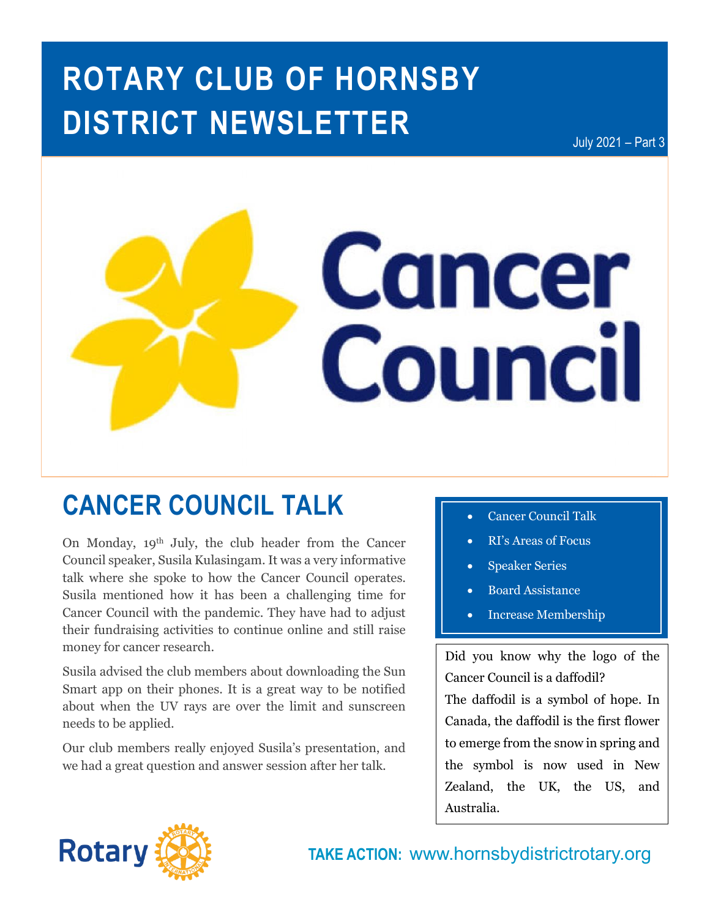# **ROTARY CLUB OF HORNSBY DISTRICT NEWSLETTER**

July 2021 – Part 3



## **CANCER COUNCIL TALK**

On Monday, 19th July, the club header from the Cancer Council speaker, Susila Kulasingam. It was a very informative talk where she spoke to how the Cancer Council operates. Susila mentioned how it has been a challenging time for Cancer Council with the pandemic. They have had to adjust their fundraising activities to continue online and still raise money for cancer research.

Susila advised the club members about downloading the Sun Smart app on their phones. It is a great way to be notified about when the UV rays are over the limit and sunscreen needs to be applied.

Our club members really enjoyed Susila's presentation, and we had a great question and answer session after her talk.

- **Cancer Council Talk**
- RI's Areas of Focus
- Speaker Series
- Board Assistance
- Increase Membership

Did you know why the logo of the Cancer Council is a daffodil?

The daffodil is a symbol of hope. In Canada, the daffodil is the first flower to emerge from the snow in spring and the symbol is now used in New Zealand, the UK, the US, and Australia.



**TAKE ACTION:** www.hornsbydistrictrotary.org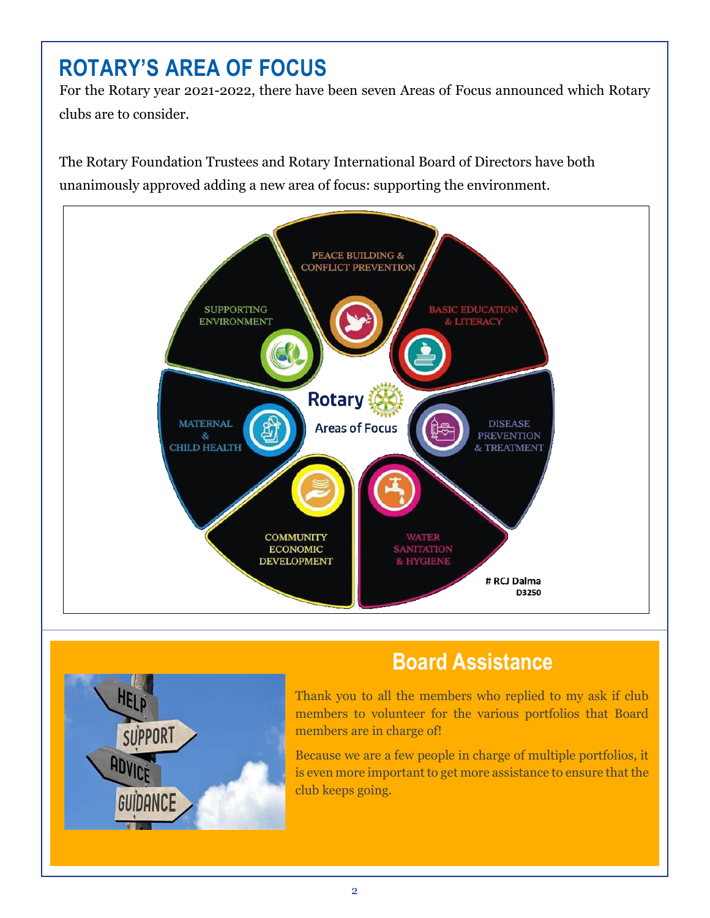### **ROTARY'S AREA OF FOCUS**

For the Rotary year 2021-2022, there have been seven Areas of Focus announced which Rotary clubs are to consider.

The Rotary Foundation Trustees and Rotary International Board of Directors have both unanimously approved adding a new area of focus: supporting the environment.





### **Board Assistance**

Thank you to all the members who replied to my ask if club members to volunteer for the various portfolios that Board members are in charge of!

Because we are a few people in charge of multiple portfolios, it is even more important to get more assistance to ensure that the club keeps going.